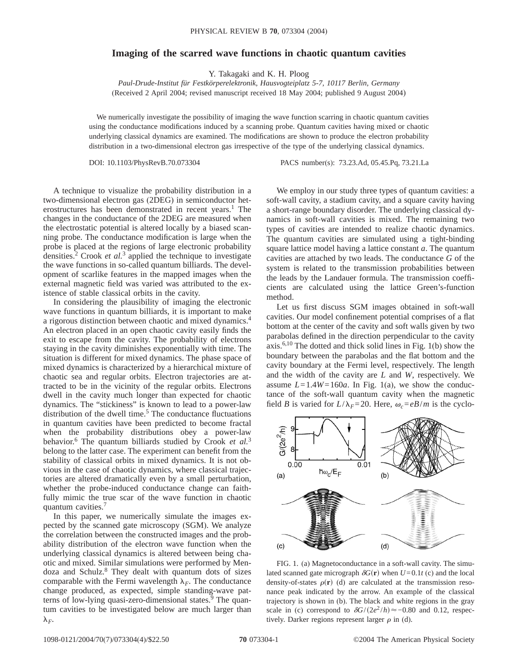## **Imaging of the scarred wave functions in chaotic quantum cavities**

Y. Takagaki and K. H. Ploog

*Paul-Drude-Institut für Festkörperelektronik, Hausvogteiplatz 5-7, 10117 Berlin, Germany* (Received 2 April 2004; revised manuscript received 18 May 2004; published 9 August 2004)

We numerically investigate the possibility of imaging the wave function scarring in chaotic quantum cavities using the conductance modifications induced by a scanning probe. Quantum cavities having mixed or chaotic underlying classical dynamics are examined. The modifications are shown to produce the electron probability distribution in a two-dimensional electron gas irrespective of the type of the underlying classical dynamics.

DOI: 10.1103/PhysRevB.70.073304 PACS number(s): 73.23.Ad, 05.45.Pq, 73.21.La

A technique to visualize the probability distribution in a two-dimensional electron gas (2DEG) in semiconductor heterostructures has been demonstrated in recent years.<sup>1</sup> The changes in the conductance of the 2DEG are measured when the electrostatic potential is altered locally by a biased scanning probe. The conductance modification is large when the probe is placed at the regions of large electronic probability densities.2 Crook *et al.*<sup>3</sup> applied the technique to investigate the wave functions in so-called quantum billiards. The development of scarlike features in the mapped images when the external magnetic field was varied was attributed to the existence of stable classical orbits in the cavity.

In considering the plausibility of imaging the electronic wave functions in quantum billiards, it is important to make a rigorous distinction between chaotic and mixed dynamics.4 An electron placed in an open chaotic cavity easily finds the exit to escape from the cavity. The probability of electrons staying in the cavity diminishes exponentially with time. The situation is different for mixed dynamics. The phase space of mixed dynamics is characterized by a hierarchical mixture of chaotic sea and regular orbits. Electron trajectories are attracted to be in the vicinity of the regular orbits. Electrons dwell in the cavity much longer than expected for chaotic dynamics. The "stickiness" is known to lead to a power-law distribution of the dwell time.<sup>5</sup> The conductance fluctuations in quantum cavities have been predicted to become fractal when the probability distributions obey a power-law behavior.<sup>6</sup> The quantum billiards studied by Crook et al.<sup>3</sup> belong to the latter case. The experiment can benefit from the stability of classical orbits in mixed dynamics. It is not obvious in the case of chaotic dynamics, where classical trajectories are altered dramatically even by a small perturbation, whether the probe-induced conductance change can faithfully mimic the true scar of the wave function in chaotic quantum cavities.<sup>7</sup>

In this paper, we numerically simulate the images expected by the scanned gate microscopy (SGM). We analyze the correlation between the constructed images and the probability distribution of the electron wave function when the underlying classical dynamics is altered between being chaotic and mixed. Similar simulations were performed by Mendoza and Schulz.<sup>8</sup> They dealt with quantum dots of sizes comparable with the Fermi wavelength  $\lambda_F$ . The conductance change produced, as expected, simple standing-wave patterns of low-lying quasi-zero-dimensional states.<sup>9</sup> The quantum cavities to be investigated below are much larger than  $\lambda_F$ .

We employ in our study three types of quantum cavities: a soft-wall cavity, a stadium cavity, and a square cavity having a short-range boundary disorder. The underlying classical dynamics in soft-wall cavities is mixed. The remaining two types of cavities are intended to realize chaotic dynamics. The quantum cavities are simulated using a tight-binding square lattice model having a lattice constant *a*. The quantum cavities are attached by two leads. The conductance *G* of the system is related to the transmission probabilities between the leads by the Landauer formula. The transmission coefficients are calculated using the lattice Green's-function method.

Let us first discuss SGM images obtained in soft-wall cavities. Our model confinement potential comprises of a flat bottom at the center of the cavity and soft walls given by two parabolas defined in the direction perpendicular to the cavity axis.<sup>6,10</sup> The dotted and thick solid lines in Fig.  $1(b)$  show the boundary between the parabolas and the flat bottom and the cavity boundary at the Fermi level, respectively. The length and the width of the cavity are *L* and *W*, respectively. We assume  $L=1.4W=160a$ . In Fig. 1(a), we show the conductance of the soft-wall quantum cavity when the magnetic field *B* is varied for  $L/\lambda_F=20$ . Here,  $\omega_c=eB/m$  is the cyclo-



FIG. 1. (a) Magnetoconductance in a soft-wall cavity. The simulated scanned gate micrograph  $\delta G(\mathbf{r})$  when  $U=0.1t$  (c) and the local density-of-states  $\rho$ (**r**) (d) are calculated at the transmission resonance peak indicated by the arrow. An example of the classical trajectory is shown in (b). The black and white regions in the gray scale in (c) correspond to  $\delta G/(2e^2/h) \approx -0.80$  and 0.12, respectively. Darker regions represent larger  $\rho$  in (d).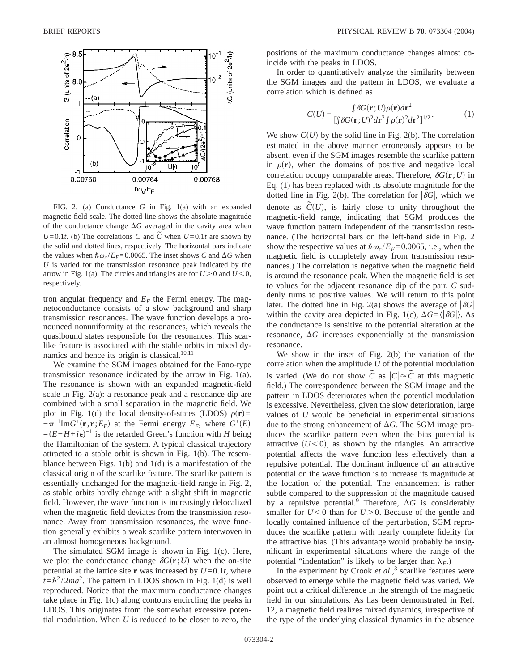

FIG. 2. (a) Conductance *G* in Fig. 1(a) with an expanded magnetic-field scale. The dotted line shows the absolute magnitude of the conductance change  $\Delta G$  averaged in the cavity area when  $U=0.1t$ . (b) The correlations *C* and  $\tilde{C}$  when  $U=0.1t$  are shown by the solid and dotted lines, respectively. The horizontal bars indicate the values when  $\hbar \omega_c / E_F = 0.0065$ . The inset shows *C* and  $\Delta G$  when *U* is varied for the transmission resonance peak indicated by the arrow in Fig. 1(a). The circles and triangles are for  $U>0$  and  $U<0$ , respectively.

tron angular frequency and  $E_F$  the Fermi energy. The magnetoconductance consists of a slow background and sharp transmission resonances. The wave function develops a pronounced nonuniformity at the resonances, which reveals the quasibound states responsible for the resonances. This scarlike feature is associated with the stable orbits in mixed dynamics and hence its origin is classical. $10,11$ 

We examine the SGM images obtained for the Fano-type transmission resonance indicated by the arrow in Fig. 1(a). The resonance is shown with an expanded magnetic-field scale in Fig. 2(a): a resonance peak and a resonance dip are combined with a small separation in the magnetic field. We plot in Fig. 1(d) the local density-of-states (LDOS)  $\rho(\mathbf{r})$ =  $-\pi^{-1}$ Im*G*<sup>+</sup>(**r**, **r**; *E<sub>F</sub>*) at the Fermi energy *E<sub>F</sub>*, where *G*<sup>+</sup>(*E*)  $=(E-H+i\epsilon)^{-1}$  is the retarded Green's function with *H* being the Hamiltonian of the system. A typical classical trajectory attracted to a stable orbit is shown in Fig. 1(b). The resemblance between Figs. 1(b) and 1(d) is a manifestation of the classical origin of the scarlike feature. The scarlike pattern is essentially unchanged for the magnetic-field range in Fig. 2, as stable orbits hardly change with a slight shift in magnetic field. However, the wave function is increasingly delocalized when the magnetic field deviates from the transmission resonance. Away from transmission resonances, the wave function generally exhibits a weak scarlike pattern interwoven in an almost homogeneous background.

The simulated SGM image is shown in Fig. 1(c). Here, we plot the conductance change  $\delta G(\mathbf{r}; U)$  when the on-site potential at the lattice site **r** was increased by  $U=0.1t$ , where  $t = \hbar^2 / 2ma^2$ . The pattern in LDOS shown in Fig. 1(d) is well reproduced. Notice that the maximum conductance changes take place in Fig. 1(c) along contours encircling the peaks in LDOS. This originates from the somewhat excessive potential modulation. When *U* is reduced to be closer to zero, the positions of the maximum conductance changes almost coincide with the peaks in LDOS.

In order to quantitatively analyze the similarity between the SGM images and the pattern in LDOS, we evaluate a correlation which is defined as

$$
C(U) = \frac{\int \delta G(\mathbf{r}; U) \rho(\mathbf{r}) d\mathbf{r}^2}{\int \int \delta G(\mathbf{r}; U)^2 d\mathbf{r}^2 \int \rho(\mathbf{r})^2 d\mathbf{r}^2}.
$$
 (1)

We show  $C(U)$  by the solid line in Fig. 2(b). The correlation estimated in the above manner erroneously appears to be absent, even if the SGM images resemble the scarlike pattern in  $\rho(\mathbf{r})$ , when the domains of positive and negative local correlation occupy comparable areas. Therefore,  $\delta G(\mathbf{r}; U)$  in Eq. (1) has been replaced with its absolute magnitude for the dotted line in Fig. 2(b). The correlation for  $|\delta G|$ , which we denote as  $\tilde{C}(U)$ , is fairly close to unity throughout the magnetic-field range, indicating that SGM produces the wave function pattern independent of the transmission resonance. (The horizontal bars on the left-hand side in Fig. 2 show the respective values at  $\hbar \omega_c / E_F = 0.0065$ , i.e., when the magnetic field is completely away from transmission resonances.) The correlation is negative when the magnetic field is around the resonance peak. When the magnetic field is set to values for the adjacent resonance dip of the pair, *C* suddenly turns to positive values. We will return to this point later. The dotted line in Fig. 2(a) shows the average of  $|\delta G|$ within the cavity area depicted in Fig. 1(c),  $\Delta G = \langle |\delta G| \rangle$ . As the conductance is sensitive to the potential alteration at the resonance,  $\Delta G$  increases exponentially at the transmission resonance.

We show in the inset of Fig. 2(b) the variation of the correlation when the amplitude *U* of the potential modulation is varied. (We do not show  $\tilde{C}$  as  $|C| \approx \tilde{C}$  at this magnetic field.) The correspondence between the SGM image and the pattern in LDOS deteriorates when the potential modulation is excessive. Nevertheless, given the slow deterioration, large values of *U* would be beneficial in experimental situations due to the strong enhancement of  $\Delta G$ . The SGM image produces the scarlike pattern even when the bias potential is attractive  $(U<0)$ , as shown by the triangles. An attractive potential affects the wave function less effectively than a repulsive potential. The dominant influence of an attractive potential on the wave function is to increase its magnitude at the location of the potential. The enhancement is rather subtle compared to the suppression of the magnitude caused by a repulsive potential.<sup>9</sup> Therefore,  $\Delta G$  is considerably smaller for  $U < 0$  than for  $U > 0$ . Because of the gentle and locally contained influence of the perturbation, SGM reproduces the scarlike pattern with nearly complete fidelity for the attractive bias. (This advantage would probably be insignificant in experimental situations where the range of the potential "indentation" is likely to be larger than  $\lambda_F$ .)

In the experiment by Crook *et al.*,<sup>3</sup> scarlike features were observed to emerge while the magnetic field was varied. We point out a critical difference in the strength of the magnetic field in our simulations. As has been demonstrated in Ref. 12, a magnetic field realizes mixed dynamics, irrespective of the type of the underlying classical dynamics in the absence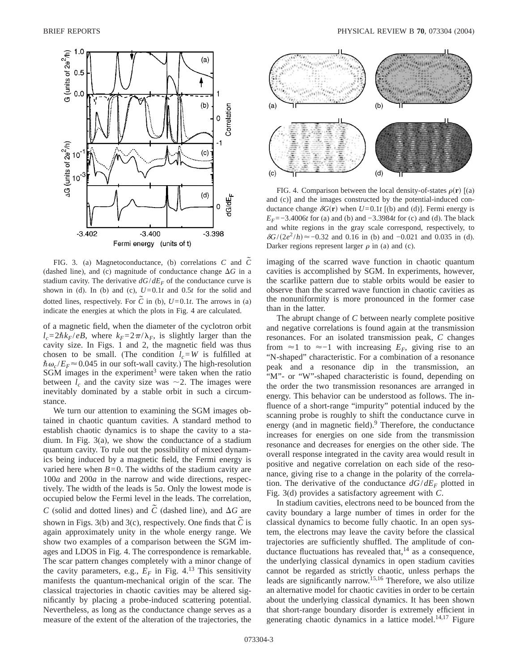

FIG. 3. (a) Magnetoconductance, (b) correlations *<sup>C</sup>* and *C˜* (dashed line), and (c) magnitude of conductance change  $\Delta G$  in a stadium cavity. The derivative  $dG/dE_F$  of the conductance curve is shown in (d). In (b) and (c),  $U=0.1t$  and  $0.5t$  for the solid and dotted lines, respectively. For  $\tilde{C}$  in (b),  $U=0.1t$ . The arrows in (a) indicate the energies at which the plots in Fig. 4 are calculated.

of a magnetic field, when the diameter of the cyclotron orbit  $l_c = 2\hbar k_F/eB$ , where  $k_F = 2\pi/\lambda_F$ , is slightly larger than the cavity size. In Figs. 1 and 2, the magnetic field was thus chosen to be small. (The condition  $l_c = W$  is fulfilled at  $\hbar \omega_c / E_F \approx 0.045$  in our soft-wall cavity.) The high-resolution  $SGM$  images in the experiment<sup>3</sup> were taken when the ratio between  $l_c$  and the cavity size was  $\sim$ 2. The images were inevitably dominated by a stable orbit in such a circumstance.

We turn our attention to examining the SGM images obtained in chaotic quantum cavities. A standard method to establish chaotic dynamics is to shape the cavity to a stadium. In Fig. 3(a), we show the conductance of a stadium quantum cavity. To rule out the possibility of mixed dynamics being induced by a magnetic field, the Fermi energy is varied here when  $B=0$ . The widths of the stadium cavity are 100*a* and 200*a* in the narrow and wide directions, respectively. The width of the leads is 5*a*. Only the lowest mode is occupied below the Fermi level in the leads. The correlation, *C* (solid and dotted lines) and *C* (dashed line), and  $\Delta G$  are shown in Figs. 3(b) and 3(c), respectively. One finds that  $\tilde{C}$  is again approximately unity in the whole energy range. We show two examples of a comparison between the SGM images and LDOS in Fig. 4. The correspondence is remarkable. The scar pattern changes completely with a minor change of the cavity parameters, e.g.,  $E_F$  in Fig. 4.<sup>13</sup> This sensitivity manifests the quantum-mechanical origin of the scar. The classical trajectories in chaotic cavities may be altered significantly by placing a probe-induced scattering potential. Nevertheless, as long as the conductance change serves as a measure of the extent of the alteration of the trajectories, the



FIG. 4. Comparison between the local density-of-states  $\rho(\mathbf{r})$  [(a) and (c)] and the images constructed by the potential-induced conductance change  $\delta G(\mathbf{r})$  when  $U=0.1t$  [(b) and (d)]. Fermi energy is *E<sub>F</sub>*=−3.4006*t* for (a) and (b) and −3.3984*t* for (c) and (d). The black and white regions in the gray scale correspond, respectively, to  $\delta G/(2e^2/h) \approx$ −0.32 and 0.16 in (b) and −0.021 and 0.035 in (d). Darker regions represent larger  $\rho$  in (a) and (c).

imaging of the scarred wave function in chaotic quantum cavities is accomplished by SGM. In experiments, however, the scarlike pattern due to stable orbits would be easier to observe than the scarred wave function in chaotic cavities as the nonuniformity is more pronounced in the former case than in the latter.

The abrupt change of *C* between nearly complete positive and negative correlations is found again at the transmission resonances. For an isolated transmission peak, *C* changes from  $\approx$ 1 to  $\approx$ -1 with increasing  $E_F$ , giving rise to an "N-shaped" characteristic. For a combination of a resonance peak and a resonance dip in the transmission, an "M"- or "W"-shaped characteristic is found, depending on the order the two transmission resonances are arranged in energy. This behavior can be understood as follows. The influence of a short-range "impurity" potential induced by the scanning probe is roughly to shift the conductance curve in energy (and in magnetic field).<sup>9</sup> Therefore, the conductance increases for energies on one side from the transmission resonance and decreases for energies on the other side. The overall response integrated in the cavity area would result in positive and negative correlation on each side of the resonance, giving rise to a change in the polarity of the correlation. The derivative of the conductance  $dG/dE_F$  plotted in Fig. 3(d) provides a satisfactory agreement with *C*.

In stadium cavities, electrons need to be bounced from the cavity boundary a large number of times in order for the classical dynamics to become fully chaotic. In an open system, the electrons may leave the cavity before the classical trajectories are sufficiently shuffled. The amplitude of conductance fluctuations has revealed that,  $14$  as a consequence, the underlying classical dynamics in open stadium cavities cannot be regarded as strictly chaotic, unless perhaps the leads are significantly narrow.15,16 Therefore, we also utilize an alternative model for chaotic cavities in order to be certain about the underlying classical dynamics. It has been shown that short-range boundary disorder is extremely efficient in generating chaotic dynamics in a lattice model.<sup>14,17</sup> Figure